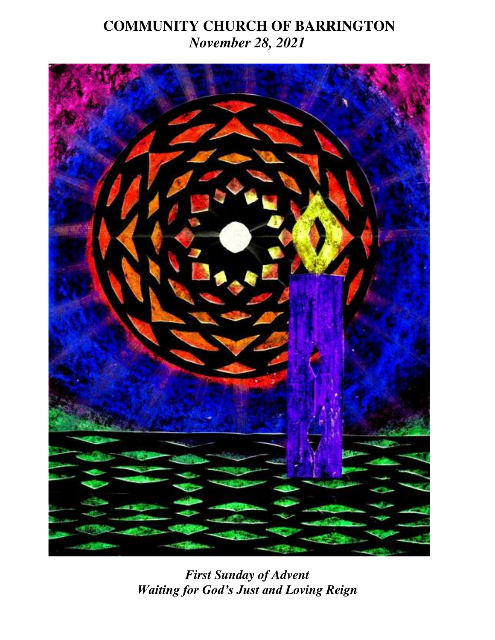## **COMMUNITY CHURCH OF BARRINGTON** *November 28, 2021*



*First Sunday of Advent Waiting for God's Just and Loving Reign*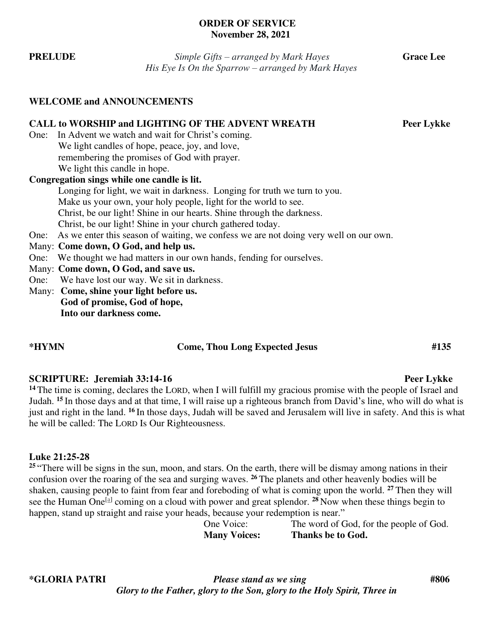#### **ORDER OF SERVICE November 28, 2021**

|                                  | His Eye Is On the Sparrow – arranged by Mark Hayes                                         |            |  |  |  |
|----------------------------------|--------------------------------------------------------------------------------------------|------------|--|--|--|
| <b>WELCOME and ANNOUNCEMENTS</b> |                                                                                            |            |  |  |  |
|                                  | <b>CALL to WORSHIP and LIGHTING OF THE ADVENT WREATH</b>                                   | Peer Lykke |  |  |  |
|                                  | One: In Advent we watch and wait for Christ's coming.                                      |            |  |  |  |
|                                  | We light candles of hope, peace, joy, and love,                                            |            |  |  |  |
|                                  | remembering the promises of God with prayer.                                               |            |  |  |  |
|                                  | We light this candle in hope.                                                              |            |  |  |  |
|                                  | Congregation sings while one candle is lit.                                                |            |  |  |  |
|                                  | Longing for light, we wait in darkness. Longing for truth we turn to you.                  |            |  |  |  |
|                                  | Make us your own, your holy people, light for the world to see.                            |            |  |  |  |
|                                  | Christ, be our light! Shine in our hearts. Shine through the darkness.                     |            |  |  |  |
|                                  | Christ, be our light! Shine in your church gathered today.                                 |            |  |  |  |
|                                  | One: As we enter this season of waiting, we confess we are not doing very well on our own. |            |  |  |  |
|                                  | Many: Come down, O God, and help us.                                                       |            |  |  |  |
|                                  | One: We thought we had matters in our own hands, fending for ourselves.                    |            |  |  |  |
|                                  | Many: Come down, O God, and save us.                                                       |            |  |  |  |
|                                  | One: We have lost our way. We sit in darkness.                                             |            |  |  |  |
|                                  | Many: Come, shine your light before us.                                                    |            |  |  |  |
|                                  | God of promise, God of hope,                                                               |            |  |  |  |
|                                  | Into our darkness come.                                                                    |            |  |  |  |

### **\*HYMN Come, Thou Long Expected Jesus #135**

#### **SCRIPTURE:** Jeremiah 33:14-16 Peer Lykke

<sup>14</sup>The time is coming, declares the LORD, when I will fulfill my gracious promise with the people of Israel and Judah. **<sup>15</sup>**In those days and at that time, I will raise up a righteous branch from David's line, who will do what is just and right in the land. **<sup>16</sup>**In those days, Judah will be saved and Jerusalem will live in safety. And this is what he will be called: The LORD Is Our Righteousness.

#### **Luke 21:25-28**

<sup>25</sup> "There will be signs in the sun, moon, and stars. On the earth, there will be dismay among nations in their confusion over the roaring of the sea and surging waves. **<sup>26</sup>**The planets and other heavenly bodies will be shaken, causing people to faint from fear and foreboding of what is coming upon the world. **<sup>27</sup>**Then they will see the Human One<sup>[\[a\]](https://www.biblegateway.com/passage/?search=Luke+21%3A25-28&version=CEB#fen-CEB-25844a)</sup> coming on a cloud with power and great splendor. <sup>28</sup> Now when these things begin to happen, stand up straight and raise your heads, because your redemption is near."

One Voice: The word of God, for the people of God. **Many Voices: Thanks be to God.**

**\*GLORIA PATRI** *Please stand as we sing* **#806** *Glory to the Father, glory to the Son, glory to the Holy Spirit, Three in* 

**PRELUDE** *Simple Gifts – arranged by Mark Hayes* **Grace Lee**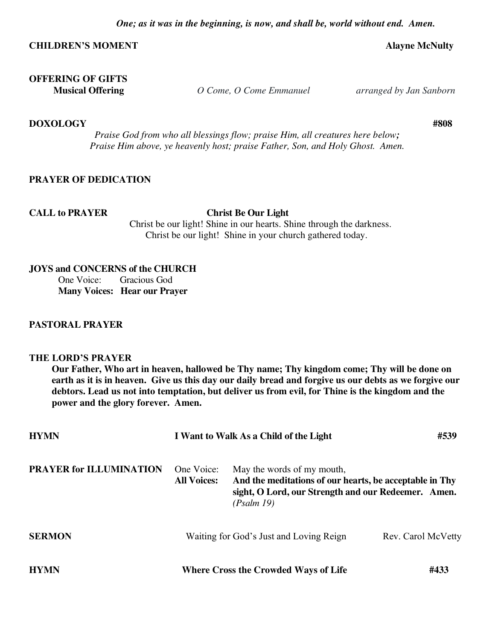### **CHILDREN'S MOMENT Alayne McNulty**

# **OFFERING OF GIFTS**

 **Musical Offering** *O Come, O Come Emmanuel arranged by Jan Sanborn*

**DOXOLOGY****#808**

 *Praise God from who all blessings flow; praise Him, all creatures here below; Praise Him above, ye heavenly host; praise Father, Son, and Holy Ghost. Amen.* 

### **PRAYER OF DEDICATION**

#### **CALL to PRAYER Christ Be Our Light**

 Christ be our light! Shine in our hearts. Shine through the darkness. Christ be our light! Shine in your church gathered today.

#### **JOYS and CONCERNS of the CHURCH**

One Voice: Gracious God **Many Voices: Hear our Prayer** 

#### **PASTORAL PRAYER**

#### **THE LORD'S PRAYER**

**Our Father, Who art in heaven, hallowed be Thy name; Thy kingdom come; Thy will be done on earth as it is in heaven. Give us this day our daily bread and forgive us our debts as we forgive our debtors. Lead us not into temptation, but deliver us from evil, for Thine is the kingdom and the power and the glory forever. Amen.** 

| <b>HYMN</b>                    | I Want to Walk As a Child of the Light      |                                                                                                                                                            | #539               |
|--------------------------------|---------------------------------------------|------------------------------------------------------------------------------------------------------------------------------------------------------------|--------------------|
| <b>PRAYER for ILLUMINATION</b> | One Voice:<br><b>All Voices:</b>            | May the words of my mouth,<br>And the meditations of our hearts, be acceptable in Thy<br>sight, O Lord, our Strength and our Redeemer. Amen.<br>(Psalm 19) |                    |
| <b>SERMON</b>                  |                                             | Waiting for God's Just and Loving Reign                                                                                                                    | Rev. Carol McVetty |
| <b>HYMN</b>                    | <b>Where Cross the Crowded Ways of Life</b> |                                                                                                                                                            | #433               |